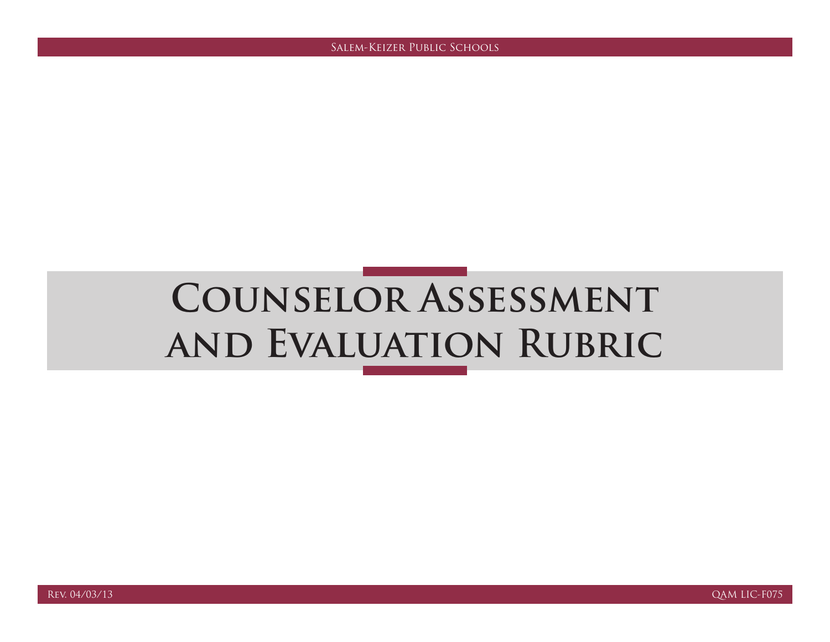# **Counselor Assessment and Evaluation Rubric**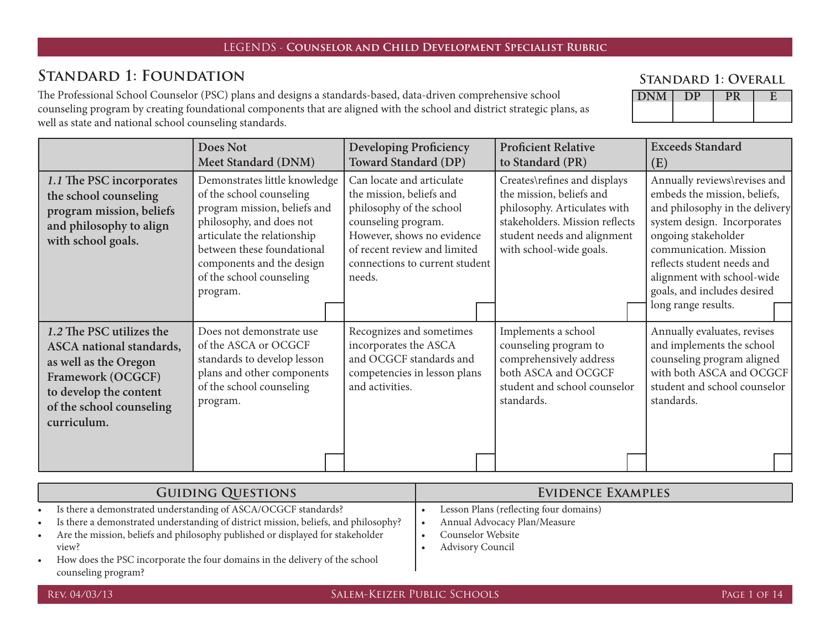#### **Standard 1: Foundation**

The Professional School Counselor (PSC) plans and designs a standards-based, data-driven comprehensive school counseling program by creating foundational components that are aligned with the school and district strategic plans, as well as state and national school counseling standards.

#### **Standard 1: Overall**

| LANNI |  |  |
|-------|--|--|
|       |  |  |
|       |  |  |

|                                                                                                                                                                         | Does Not<br>Meet Standard (DNM)                                                                                                                                                                                                                         | <b>Developing Proficiency</b><br><b>Toward Standard (DP)</b>                                                                                                                                                       | <b>Proficient Relative</b><br>to Standard (PR)                                                                                                                                       | <b>Exceeds Standard</b><br>(E)                                                                                                                                                                                                                                                                   |
|-------------------------------------------------------------------------------------------------------------------------------------------------------------------------|---------------------------------------------------------------------------------------------------------------------------------------------------------------------------------------------------------------------------------------------------------|--------------------------------------------------------------------------------------------------------------------------------------------------------------------------------------------------------------------|--------------------------------------------------------------------------------------------------------------------------------------------------------------------------------------|--------------------------------------------------------------------------------------------------------------------------------------------------------------------------------------------------------------------------------------------------------------------------------------------------|
| 1.1 The PSC incorporates<br>the school counseling<br>program mission, beliefs<br>and philosophy to align<br>with school goals.                                          | Demonstrates little knowledge<br>of the school counseling<br>program mission, beliefs and<br>philosophy, and does not<br>articulate the relationship<br>between these foundational<br>components and the design<br>of the school counseling<br>program. | Can locate and articulate<br>the mission, beliefs and<br>philosophy of the school<br>counseling program.<br>However, shows no evidence<br>of recent review and limited<br>connections to current student<br>needs. | Creates\refines and displays<br>the mission, beliefs and<br>philosophy. Articulates with<br>stakeholders. Mission reflects<br>student needs and alignment<br>with school-wide goals. | Annually reviews\revises and<br>embeds the mission, beliefs,<br>and philosophy in the delivery<br>system design. Incorporates<br>ongoing stakeholder<br>communication. Mission<br>reflects student needs and<br>alignment with school-wide<br>goals, and includes desired<br>long range results. |
| 1.2 The PSC utilizes the<br>ASCA national standards,<br>as well as the Oregon<br>Framework (OCGCF)<br>to develop the content<br>of the school counseling<br>curriculum. | Does not demonstrate use<br>of the ASCA or OCGCF<br>standards to develop lesson<br>plans and other components<br>of the school counseling<br>program.                                                                                                   | Recognizes and sometimes<br>incorporates the ASCA<br>and OCGCF standards and<br>competencies in lesson plans<br>and activities.                                                                                    | Implements a school<br>counseling program to<br>comprehensively address<br>both ASCA and OCGCF<br>student and school counselor<br>standards.                                         | Annually evaluates, revises<br>and implements the school<br>counseling program aligned<br>with both ASCA and OCGCF<br>student and school counselor<br>standards.                                                                                                                                 |

|           | <b>GUIDING QUESTIONS</b>                                                            | EVIDENCE EXAMPLES |                                        |  |
|-----------|-------------------------------------------------------------------------------------|-------------------|----------------------------------------|--|
| $\bullet$ | Is there a demonstrated understanding of ASCA/OCGCF standards?                      |                   | Lesson Plans (reflecting four domains) |  |
|           | Is there a demonstrated understanding of district mission, beliefs, and philosophy? |                   | Annual Advocacy Plan/Measure           |  |
|           | Are the mission, beliefs and philosophy published or displayed for stakeholder      |                   | Counselor Website                      |  |
|           | view?                                                                               |                   | <b>Advisory Council</b>                |  |
|           | How does the PSC incorporate the four domains in the delivery of the school         |                   |                                        |  |
|           | counseling program?                                                                 |                   |                                        |  |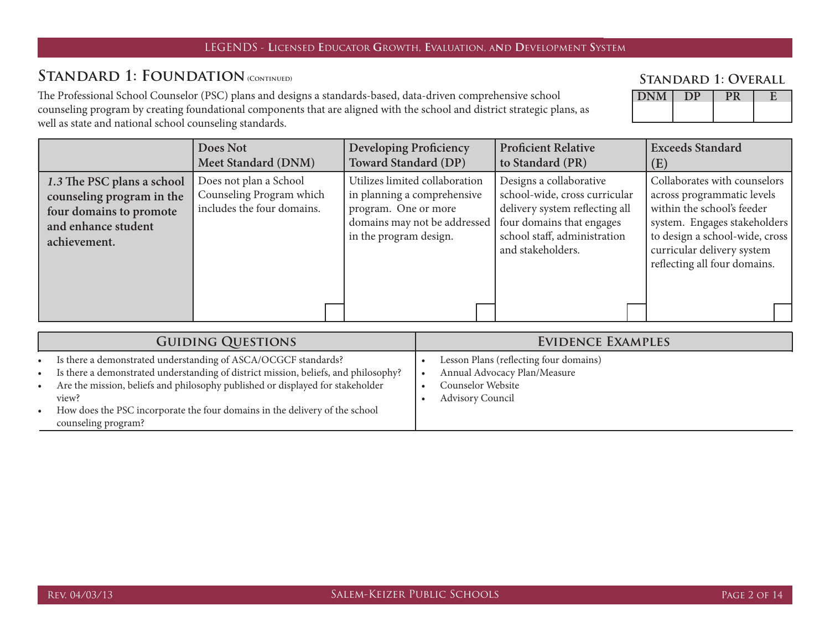#### STANDARD 1: FOUNDATION (CONTINUED)

The Professional School Counselor (PSC) plans and designs a standards-based, data-driven comprehensive school counseling program by creating foundational components that are aligned with the school and district strategic plans, as well as state and national school counseling standards.

#### **Standard 1: Overall**

| $L_{\text{IV}}$ |  | ٠ |
|-----------------|--|---|
|                 |  |   |
|                 |  |   |

|                                                                                                                           | Does Not<br>Meet Standard (DNM)                                                  | <b>Developing Proficiency</b><br><b>Toward Standard (DP)</b>                                                                                    | <b>Proficient Relative</b><br>to Standard (PR)                                                                                                                               | <b>Exceeds Standard</b><br>(E)                                                                                                                                                                                           |
|---------------------------------------------------------------------------------------------------------------------------|----------------------------------------------------------------------------------|-------------------------------------------------------------------------------------------------------------------------------------------------|------------------------------------------------------------------------------------------------------------------------------------------------------------------------------|--------------------------------------------------------------------------------------------------------------------------------------------------------------------------------------------------------------------------|
| 1.3 The PSC plans a school<br>counseling program in the<br>four domains to promote<br>and enhance student<br>achievement. | Does not plan a School<br>Counseling Program which<br>includes the four domains. | Utilizes limited collaboration<br>in planning a comprehensive<br>program. One or more<br>domains may not be addressed<br>in the program design. | Designs a collaborative<br>school-wide, cross curricular<br>delivery system reflecting all<br>four domains that engages<br>school staff, administration<br>and stakeholders. | Collaborates with counselors<br>across programmatic levels<br>within the school's feeder<br>system. Engages stakeholders<br>to design a school-wide, cross<br>curricular delivery system<br>reflecting all four domains. |
|                                                                                                                           |                                                                                  |                                                                                                                                                 |                                                                                                                                                                              |                                                                                                                                                                                                                          |

| <b>GUIDING QUESTIONS</b>                                                                                                                                                                                                                                                                                                                                                  | EVIDENCE EXAMPLES                                                                                                      |
|---------------------------------------------------------------------------------------------------------------------------------------------------------------------------------------------------------------------------------------------------------------------------------------------------------------------------------------------------------------------------|------------------------------------------------------------------------------------------------------------------------|
| • Is there a demonstrated understanding of ASCA/OCGCF standards?<br>• Is there a demonstrated understanding of district mission, beliefs, and philosophy?<br>Are the mission, beliefs and philosophy published or displayed for stakeholder<br>$\bullet$<br>view?<br>• How does the PSC incorporate the four domains in the delivery of the school<br>counseling program? | Lesson Plans (reflecting four domains)<br>Annual Advocacy Plan/Measure<br>Counselor Website<br><b>Advisory Council</b> |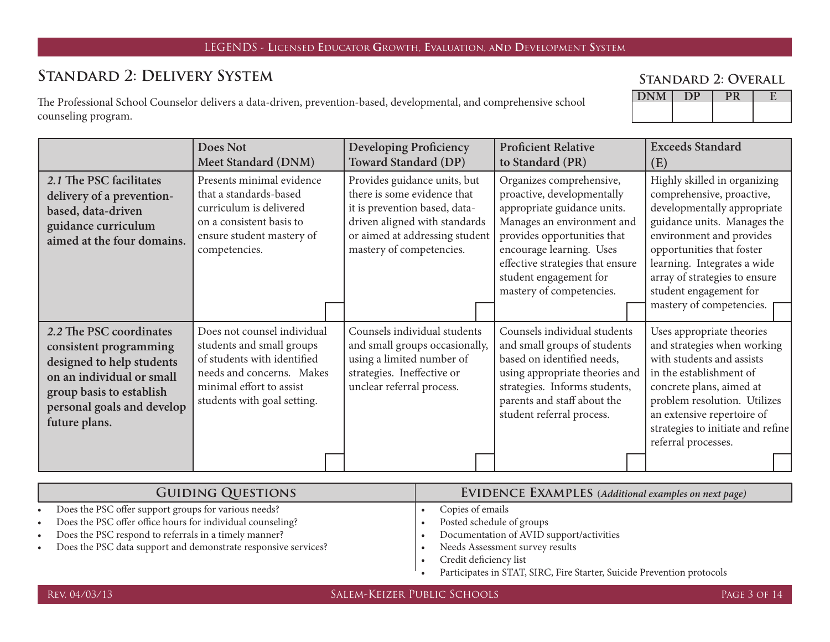# **Standard 2: Delivery System**

The Professional School Counselor delivers a data-driven, prevention-based, developmental, and comprehensive school counseling program.

|               | <b>STANDARD 2: OVERALL</b> |  |
|---------------|----------------------------|--|
| DNM   DP   PR |                            |  |

|                                                                                                                                                                                        | Does Not<br>Meet Standard (DNM)                                                                                                                                                 | <b>Developing Proficiency</b><br><b>Toward Standard (DP)</b>                                                                                                                                | <b>Proficient Relative</b><br>to Standard (PR)                                                                                                                                                                                                                           | <b>Exceeds Standard</b><br>(E)                                                                                                                                                                                                                                                                         |
|----------------------------------------------------------------------------------------------------------------------------------------------------------------------------------------|---------------------------------------------------------------------------------------------------------------------------------------------------------------------------------|---------------------------------------------------------------------------------------------------------------------------------------------------------------------------------------------|--------------------------------------------------------------------------------------------------------------------------------------------------------------------------------------------------------------------------------------------------------------------------|--------------------------------------------------------------------------------------------------------------------------------------------------------------------------------------------------------------------------------------------------------------------------------------------------------|
| 2.1 The PSC facilitates<br>delivery of a prevention-<br>based, data-driven<br>guidance curriculum<br>aimed at the four domains.                                                        | Presents minimal evidence<br>that a standards-based<br>curriculum is delivered<br>on a consistent basis to<br>ensure student mastery of<br>competencies.                        | Provides guidance units, but<br>there is some evidence that<br>it is prevention based, data-<br>driven aligned with standards<br>or aimed at addressing student<br>mastery of competencies. | Organizes comprehensive,<br>proactive, developmentally<br>appropriate guidance units.<br>Manages an environment and<br>provides opportunities that<br>encourage learning. Uses<br>effective strategies that ensure<br>student engagement for<br>mastery of competencies. | Highly skilled in organizing<br>comprehensive, proactive,<br>developmentally appropriate<br>guidance units. Manages the<br>environment and provides<br>opportunities that foster<br>learning. Integrates a wide<br>array of strategies to ensure<br>student engagement for<br>mastery of competencies. |
| 2.2 The PSC coordinates<br>consistent programming<br>designed to help students<br>on an individual or small<br>group basis to establish<br>personal goals and develop<br>future plans. | Does not counsel individual<br>students and small groups<br>of students with identified<br>needs and concerns. Makes<br>minimal effort to assist<br>students with goal setting. | Counsels individual students<br>and small groups occasionally,<br>using a limited number of<br>strategies. Ineffective or<br>unclear referral process.                                      | Counsels individual students<br>and small groups of students<br>based on identified needs,<br>using appropriate theories and<br>strategies. Informs students,<br>parents and staff about the<br>student referral process.                                                | Uses appropriate theories<br>and strategies when working<br>with students and assists<br>in the establishment of<br>concrete plans, aimed at<br>problem resolution. Utilizes<br>an extensive repertoire of<br>strategies to initiate and refine<br>referral processes.                                 |

| <b>GUIDING QUESTIONS</b> |                                                                | <b>EVIDENCE EXAMPLES</b> (Additional examples on next page) |                                                                                                       |
|--------------------------|----------------------------------------------------------------|-------------------------------------------------------------|-------------------------------------------------------------------------------------------------------|
|                          | Does the PSC offer support groups for various needs?           |                                                             | Copies of emails                                                                                      |
|                          | Does the PSC offer office hours for individual counseling?     |                                                             | Posted schedule of groups                                                                             |
|                          | Does the PSC respond to referrals in a timely manner?          |                                                             | Documentation of AVID support/activities                                                              |
|                          | Does the PSC data support and demonstrate responsive services? |                                                             | Needs Assessment survey results                                                                       |
|                          |                                                                |                                                             | Credit deficiency list                                                                                |
|                          |                                                                |                                                             | $D_{i}$ at the text in CTAT CIDC. $D_{i}$ and $C_{i}$ and $D_{i}$ are $D_{i}$ and $D_{i}$ are $D_{i}$ |

|  | Participates in STAT, SIRC, Fire Starter, Suicide Prevention protocols |  |  |  |  |  |  |
|--|------------------------------------------------------------------------|--|--|--|--|--|--|
|--|------------------------------------------------------------------------|--|--|--|--|--|--|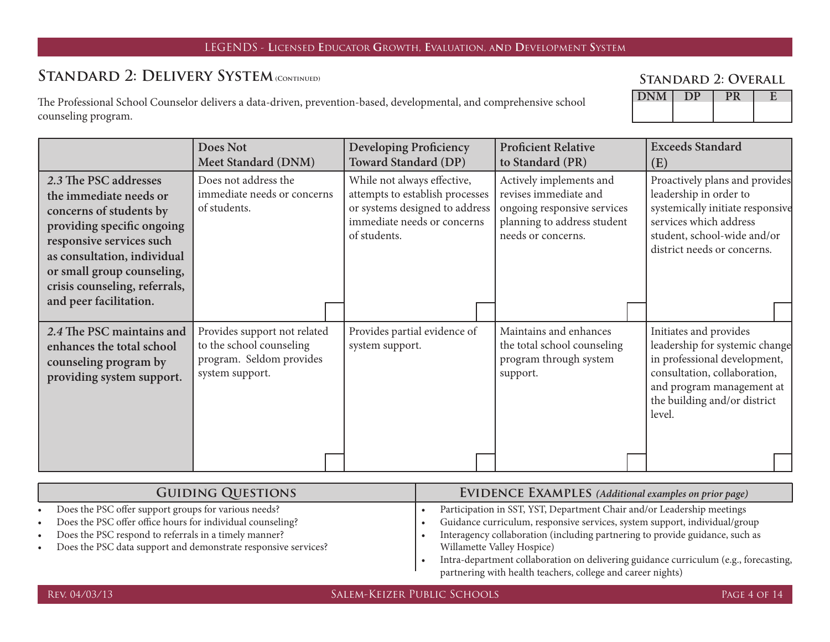## STANDARD 2: DELIVERY SYSTEM (CONTINUED)

The Professional School Counselor delivers a data-driven, prevention-based, developmental, and comprehensive school counseling program.

|                                                                                                                                                                                                                                                              | Does Not<br><b>Meet Standard (DNM)</b>                                                                  | <b>Developing Proficiency</b><br><b>Toward Standard (DP)</b>                                                                                    | <b>Proficient Relative</b><br>to Standard (PR)                                                                                       | <b>Exceeds Standard</b><br>(E)                                                                                                                                                                  |
|--------------------------------------------------------------------------------------------------------------------------------------------------------------------------------------------------------------------------------------------------------------|---------------------------------------------------------------------------------------------------------|-------------------------------------------------------------------------------------------------------------------------------------------------|--------------------------------------------------------------------------------------------------------------------------------------|-------------------------------------------------------------------------------------------------------------------------------------------------------------------------------------------------|
| 2.3 The PSC addresses<br>the immediate needs or<br>concerns of students by<br>providing specific ongoing<br>responsive services such<br>as consultation, individual<br>or small group counseling,<br>crisis counseling, referrals,<br>and peer facilitation. | Does not address the<br>immediate needs or concerns<br>of students.                                     | While not always effective,<br>attempts to establish processes<br>or systems designed to address<br>immediate needs or concerns<br>of students. | Actively implements and<br>revises immediate and<br>ongoing responsive services<br>planning to address student<br>needs or concerns. | Proactively plans and provides<br>leadership in order to<br>systemically initiate responsive<br>services which address<br>student, school-wide and/or<br>district needs or concerns.            |
| 2.4 The PSC maintains and<br>enhances the total school<br>counseling program by<br>providing system support.                                                                                                                                                 | Provides support not related<br>to the school counseling<br>program. Seldom provides<br>system support. | Provides partial evidence of<br>system support.                                                                                                 | Maintains and enhances<br>the total school counseling<br>program through system<br>support.                                          | Initiates and provides<br>leadership for systemic change<br>in professional development,<br>consultation, collaboration,<br>and program management at<br>the building and/or district<br>level. |

|           | <b>GUIDING QUESTIONS</b>                                         | <b>EVIDENCE EXAMPLES</b> (Additional examples on prior page)                         |
|-----------|------------------------------------------------------------------|--------------------------------------------------------------------------------------|
| $\bullet$ | Does the PSC offer support groups for various needs?             | Participation in SST, YST, Department Chair and/or Leadership meetings               |
| $\bullet$ | Does the PSC offer office hours for individual counseling?       | Guidance curriculum, responsive services, system support, individual/group           |
| $\bullet$ | Does the PSC respond to referrals in a timely manner?            | Interagency collaboration (including partnering to provide guidance, such as         |
|           | • Does the PSC data support and demonstrate responsive services? | Willamette Valley Hospice)                                                           |
|           |                                                                  | Intra-department collaboration on delivering guidance curriculum (e.g., forecasting, |
|           |                                                                  | partnering with health teachers, college and career nights)                          |

**Standard 2: Overall**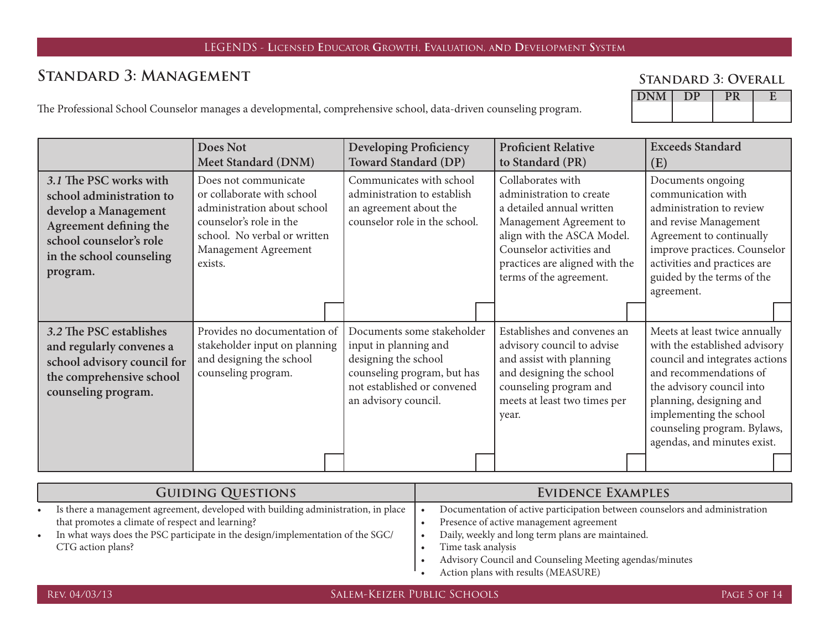# **Standard 3: Management**

**Standard 3: Overall**

The Professional School Counselor manages a developmental, comprehensive school, data-driven counseling program.

| $\sim$ |  |  |
|--------|--|--|
|        |  |  |
|        |  |  |
|        |  |  |
|        |  |  |

|                                                                                                                                                                         | <b>Does Not</b><br><b>Meet Standard (DNM)</b>                                                                                                                                   | <b>Developing Proficiency</b><br><b>Toward Standard (DP)</b>                                                                                                      | <b>Proficient Relative</b><br>to Standard (PR)                                                                                                                                                                               | <b>Exceeds Standard</b><br>(E)                                                                                                                                                                                                                                              |
|-------------------------------------------------------------------------------------------------------------------------------------------------------------------------|---------------------------------------------------------------------------------------------------------------------------------------------------------------------------------|-------------------------------------------------------------------------------------------------------------------------------------------------------------------|------------------------------------------------------------------------------------------------------------------------------------------------------------------------------------------------------------------------------|-----------------------------------------------------------------------------------------------------------------------------------------------------------------------------------------------------------------------------------------------------------------------------|
| 3.1 The PSC works with<br>school administration to<br>develop a Management<br>Agreement defining the<br>school counselor's role<br>in the school counseling<br>program. | Does not communicate<br>or collaborate with school<br>administration about school<br>counselor's role in the<br>school. No verbal or written<br>Management Agreement<br>exists. | Communicates with school<br>administration to establish<br>an agreement about the<br>counselor role in the school.                                                | Collaborates with<br>administration to create<br>a detailed annual written<br>Management Agreement to<br>align with the ASCA Model.<br>Counselor activities and<br>practices are aligned with the<br>terms of the agreement. | Documents ongoing<br>communication with<br>administration to review<br>and revise Management<br>Agreement to continually<br>improve practices. Counselor<br>activities and practices are<br>guided by the terms of the<br>agreement.                                        |
|                                                                                                                                                                         |                                                                                                                                                                                 |                                                                                                                                                                   |                                                                                                                                                                                                                              |                                                                                                                                                                                                                                                                             |
| 3.2 The PSC establishes<br>and regularly convenes a<br>school advisory council for<br>the comprehensive school<br>counseling program.                                   | Provides no documentation of<br>stakeholder input on planning<br>and designing the school<br>counseling program.                                                                | Documents some stakeholder<br>input in planning and<br>designing the school<br>counseling program, but has<br>not established or convened<br>an advisory council. | Establishes and convenes an<br>advisory council to advise<br>and assist with planning<br>and designing the school<br>counseling program and<br>meets at least two times per<br>year.                                         | Meets at least twice annually<br>with the established advisory<br>council and integrates actions<br>and recommendations of<br>the advisory council into<br>planning, designing and<br>implementing the school<br>counseling program. Bylaws,<br>agendas, and minutes exist. |
|                                                                                                                                                                         |                                                                                                                                                                                 |                                                                                                                                                                   |                                                                                                                                                                                                                              |                                                                                                                                                                                                                                                                             |

| <b>GUIDING QUESTIONS</b>                                                          | EVIDENCE EXAMPLES                                                           |
|-----------------------------------------------------------------------------------|-----------------------------------------------------------------------------|
| Is there a management agreement, developed with building administration, in place | Documentation of active participation between counselors and administration |
| that promotes a climate of respect and learning?                                  | Presence of active management agreement                                     |
| In what ways does the PSC participate in the design/implementation of the SGC/    | Daily, weekly and long term plans are maintained.                           |
| CTG action plans?                                                                 | Time task analysis                                                          |
|                                                                                   | Advisory Council and Counseling Meeting agendas/minutes                     |
|                                                                                   |                                                                             |

• Action plans with results (MEASURE)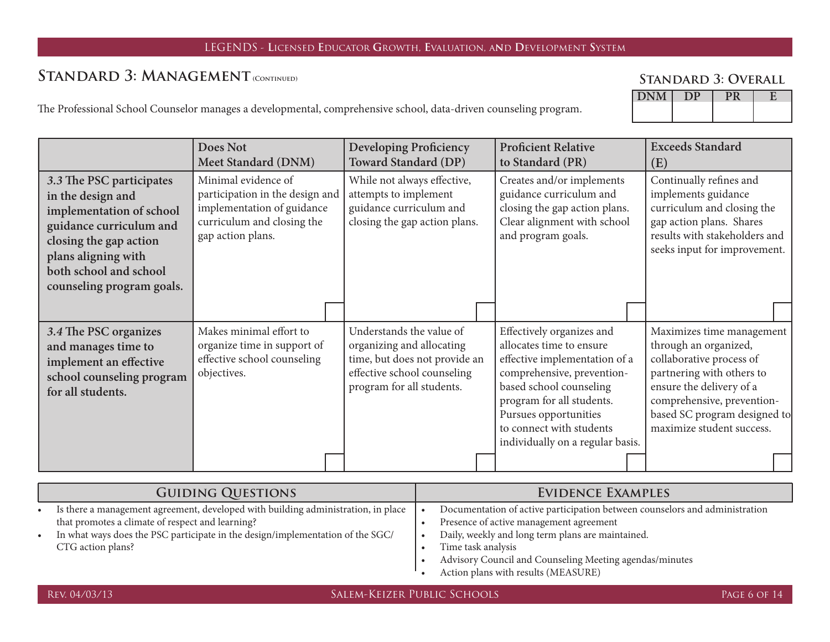## STANDARD 3: MANAGEMENT (CONTINUED)

#### **Standard 3: Overall**

The Professional School Counselor manages a developmental, comprehensive school, data-driven counseling program.

|                                                                                                                                                                                                              | Does Not<br><b>Meet Standard (DNM)</b>                                                                                                  | <b>Developing Proficiency</b><br><b>Toward Standard (DP)</b>                                                                                       | <b>Proficient Relative</b><br>to Standard (PR)                                                                                                                                                                                                                        | <b>Exceeds Standard</b><br>(E)                                                                                                                                                                                                     |
|--------------------------------------------------------------------------------------------------------------------------------------------------------------------------------------------------------------|-----------------------------------------------------------------------------------------------------------------------------------------|----------------------------------------------------------------------------------------------------------------------------------------------------|-----------------------------------------------------------------------------------------------------------------------------------------------------------------------------------------------------------------------------------------------------------------------|------------------------------------------------------------------------------------------------------------------------------------------------------------------------------------------------------------------------------------|
| 3.3 The PSC participates<br>in the design and<br>implementation of school<br>guidance curriculum and<br>closing the gap action<br>plans aligning with<br>both school and school<br>counseling program goals. | Minimal evidence of<br>participation in the design and<br>implementation of guidance<br>curriculum and closing the<br>gap action plans. | While not always effective,<br>attempts to implement<br>guidance curriculum and<br>closing the gap action plans.                                   | Creates and/or implements<br>guidance curriculum and<br>closing the gap action plans.<br>Clear alignment with school<br>and program goals.                                                                                                                            | Continually refines and<br>implements guidance<br>curriculum and closing the<br>gap action plans. Shares<br>results with stakeholders and<br>seeks input for improvement.                                                          |
|                                                                                                                                                                                                              |                                                                                                                                         |                                                                                                                                                    |                                                                                                                                                                                                                                                                       |                                                                                                                                                                                                                                    |
| 3.4 The PSC organizes<br>and manages time to<br>implement an effective<br>school counseling program<br>for all students.                                                                                     | Makes minimal effort to<br>organize time in support of<br>effective school counseling<br>objectives.                                    | Understands the value of<br>organizing and allocating<br>time, but does not provide an<br>effective school counseling<br>program for all students. | Effectively organizes and<br>allocates time to ensure<br>effective implementation of a<br>comprehensive, prevention-<br>based school counseling<br>program for all students.<br>Pursues opportunities<br>to connect with students<br>individually on a regular basis. | Maximizes time management<br>through an organized,<br>collaborative process of<br>partnering with others to<br>ensure the delivery of a<br>comprehensive, prevention-<br>based SC program designed to<br>maximize student success. |
|                                                                                                                                                                                                              |                                                                                                                                         |                                                                                                                                                    |                                                                                                                                                                                                                                                                       |                                                                                                                                                                                                                                    |

| <b>GUIDING QUESTIONS</b> |                                                                                   | EVIDENCE EXAMPLES                                                           |
|--------------------------|-----------------------------------------------------------------------------------|-----------------------------------------------------------------------------|
|                          | Is there a management agreement, developed with building administration, in place | Documentation of active participation between counselors and administration |
|                          | that promotes a climate of respect and learning?                                  | Presence of active management agreement                                     |
|                          | In what ways does the PSC participate in the design/implementation of the SGC/    | Daily, weekly and long term plans are maintained.                           |
|                          | CTG action plans?                                                                 | Time task analysis                                                          |
|                          |                                                                                   | Advisory Council and Counseling Meeting agendas/minutes                     |
|                          |                                                                                   | Action plans with results (MEASURE)                                         |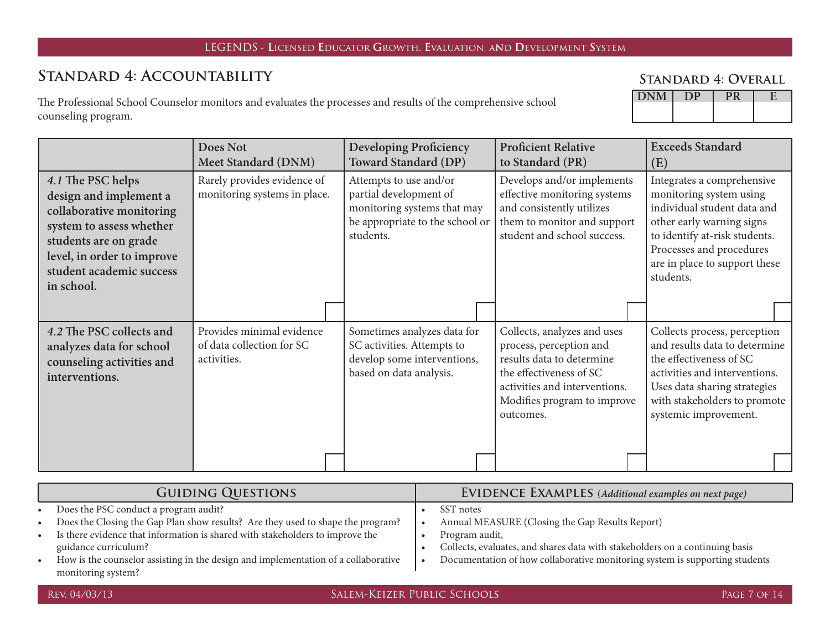# **Standard 4: Accountability**

The Professional School Counselor monitors and evaluates the processes and results of the comprehensive school counseling program.

| M<br>UN. |  |  |
|----------|--|--|
|          |  |  |

|                                                                                                                                                                                                      | <b>Does Not</b><br><b>Meet Standard (DNM)</b>                         | <b>Developing Proficiency</b><br>Toward Standard (DP)                                                                           | <b>Proficient Relative</b><br>to Standard (PR)                                                                                                                                              | <b>Exceeds Standard</b><br>(E)                                                                                                                                                                                               |
|------------------------------------------------------------------------------------------------------------------------------------------------------------------------------------------------------|-----------------------------------------------------------------------|---------------------------------------------------------------------------------------------------------------------------------|---------------------------------------------------------------------------------------------------------------------------------------------------------------------------------------------|------------------------------------------------------------------------------------------------------------------------------------------------------------------------------------------------------------------------------|
| 4.1 The PSC helps<br>design and implement a<br>collaborative monitoring<br>system to assess whether<br>students are on grade<br>level, in order to improve<br>student academic success<br>in school. | Rarely provides evidence of<br>monitoring systems in place.           | Attempts to use and/or<br>partial development of<br>monitoring systems that may<br>be appropriate to the school or<br>students. | Develops and/or implements<br>effective monitoring systems<br>and consistently utilizes<br>them to monitor and support<br>student and school success.                                       | Integrates a comprehensive<br>monitoring system using<br>individual student data and<br>other early warning signs<br>to identify at-risk students.<br>Processes and procedures<br>are in place to support these<br>students. |
|                                                                                                                                                                                                      |                                                                       |                                                                                                                                 |                                                                                                                                                                                             |                                                                                                                                                                                                                              |
| 4.2 The PSC collects and<br>analyzes data for school<br>counseling activities and<br>interventions.                                                                                                  | Provides minimal evidence<br>of data collection for SC<br>activities. | Sometimes analyzes data for<br>SC activities. Attempts to<br>develop some interventions,<br>based on data analysis.             | Collects, analyzes and uses<br>process, perception and<br>results data to determine<br>the effectiveness of SC<br>activities and interventions.<br>Modifies program to improve<br>outcomes. | Collects process, perception<br>and results data to determine<br>the effectiveness of SC<br>activities and interventions.<br>Uses data sharing strategies<br>with stakeholders to promote<br>systemic improvement.           |
|                                                                                                                                                                                                      |                                                                       |                                                                                                                                 |                                                                                                                                                                                             |                                                                                                                                                                                                                              |

| <b>GUIDING QUESTIONS</b>                                                           | <b>EVIDENCE EXAMPLES</b> (Additional examples on next page)                  |
|------------------------------------------------------------------------------------|------------------------------------------------------------------------------|
| Does the PSC conduct a program audit?                                              | SST notes                                                                    |
| Does the Closing the Gap Plan show results? Are they used to shape the program?    | Annual MEASURE (Closing the Gap Results Report)                              |
| Is there evidence that information is shared with stakeholders to improve the      | Program audit,                                                               |
| guidance curriculum?                                                               | Collects, evaluates, and shares data with stakeholders on a continuing basis |
| How is the counselor assisting in the design and implementation of a collaborative | Documentation of how collaborative monitoring system is supporting students  |
| monitoring system?                                                                 |                                                                              |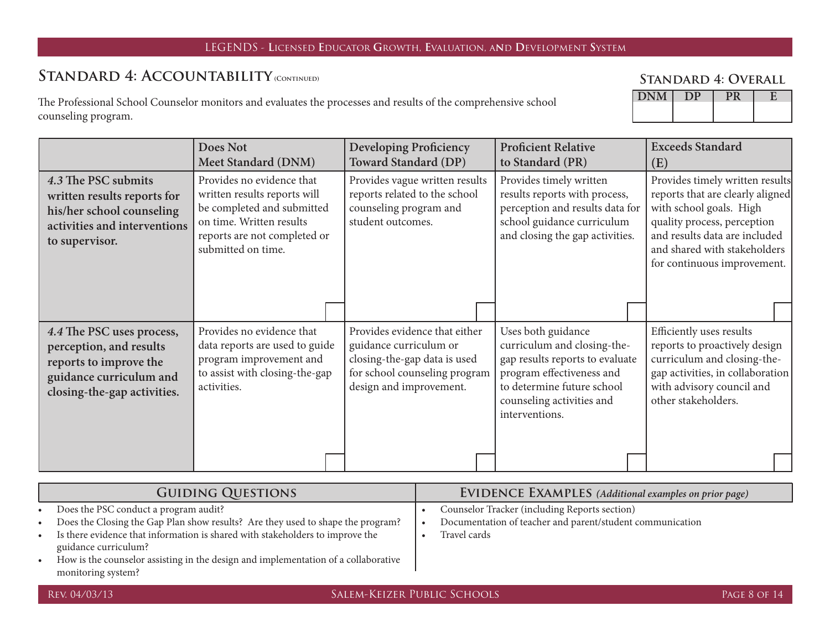## STANDARD 4: ACCOUNTABILITY (CONTINUED)

The Professional School Counselor monitors and evaluates the processes and results of the comprehensive school counseling program.

| <b>STANDARD 4: OVERALL</b> |  |
|----------------------------|--|
|----------------------------|--|

| . |  |  |
|---|--|--|
|   |  |  |

|                                                                                                                                          | Does Not<br>Meet Standard (DNM)                                                                                                                                           | <b>Developing Proficiency</b><br><b>Toward Standard (DP)</b>                                                                                        | <b>Proficient Relative</b><br>to Standard (PR)                                                                                                                                                 | <b>Exceeds Standard</b><br>(E)                                                                                                                                                                                                |
|------------------------------------------------------------------------------------------------------------------------------------------|---------------------------------------------------------------------------------------------------------------------------------------------------------------------------|-----------------------------------------------------------------------------------------------------------------------------------------------------|------------------------------------------------------------------------------------------------------------------------------------------------------------------------------------------------|-------------------------------------------------------------------------------------------------------------------------------------------------------------------------------------------------------------------------------|
| 4.3 The PSC submits<br>written results reports for<br>his/her school counseling<br>activities and interventions<br>to supervisor.        | Provides no evidence that<br>written results reports will<br>be completed and submitted<br>on time. Written results<br>reports are not completed or<br>submitted on time. | Provides vague written results<br>reports related to the school<br>counseling program and<br>student outcomes.                                      | Provides timely written<br>results reports with process,<br>perception and results data for<br>school guidance curriculum<br>and closing the gap activities.                                   | Provides timely written results<br>reports that are clearly aligned<br>with school goals. High<br>quality process, perception<br>and results data are included<br>and shared with stakeholders<br>for continuous improvement. |
| 4.4 The PSC uses process,<br>perception, and results<br>reports to improve the<br>guidance curriculum and<br>closing-the-gap activities. | Provides no evidence that<br>data reports are used to guide<br>program improvement and<br>to assist with closing-the-gap<br>activities.                                   | Provides evidence that either<br>guidance curriculum or<br>closing-the-gap data is used<br>for school counseling program<br>design and improvement. | Uses both guidance<br>curriculum and closing-the-<br>gap results reports to evaluate<br>program effectiveness and<br>to determine future school<br>counseling activities and<br>interventions. | Efficiently uses results<br>reports to proactively design<br>curriculum and closing-the-<br>gap activities, in collaboration<br>with advisory council and<br>other stakeholders.                                              |
|                                                                                                                                          |                                                                                                                                                                           |                                                                                                                                                     |                                                                                                                                                                                                |                                                                                                                                                                                                                               |

|           | <b>GUIDING QUESTIONS</b>                                                           | <b>EVIDENCE EXAMPLES</b> (Additional examples on prior page) |
|-----------|------------------------------------------------------------------------------------|--------------------------------------------------------------|
|           | Does the PSC conduct a program audit?                                              | Counselor Tracker (including Reports section)                |
| $\bullet$ | Does the Closing the Gap Plan show results? Are they used to shape the program?    | Documentation of teacher and parent/student communication    |
|           | Is there evidence that information is shared with stakeholders to improve the      | Travel cards                                                 |
|           | guidance curriculum?                                                               |                                                              |
|           | How is the counselor assisting in the design and implementation of a collaborative |                                                              |
|           | monitoring system?                                                                 |                                                              |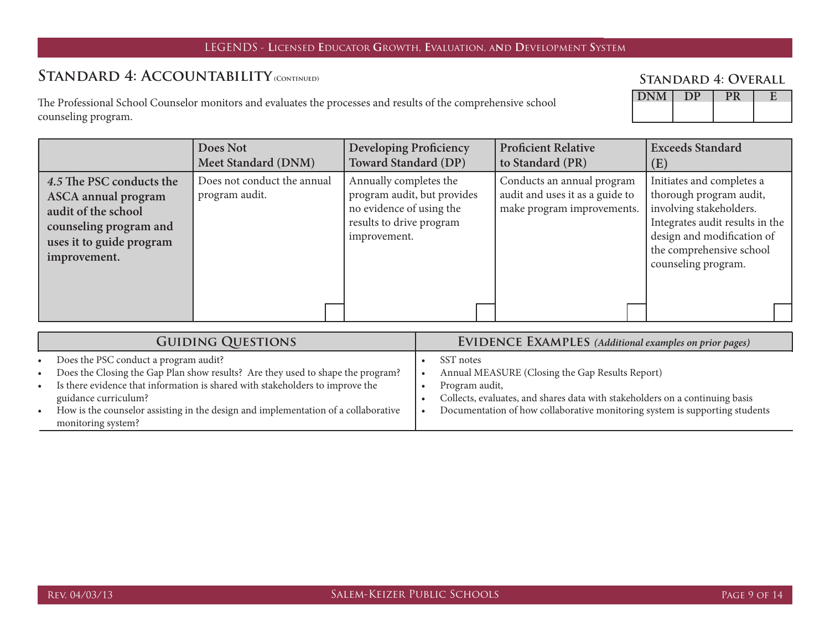## STANDARD 4: ACCOUNTABILITY (CONTINUED)

The Professional School Counselor monitors and evaluates the processes and results of the comprehensive school counseling program.

#### **Standard 4: Overall**

| UN <sub>I</sub> |  |  |
|-----------------|--|--|
|                 |  |  |

|                                                                                                                                                     | Does Not<br>Meet Standard (DNM)               | <b>Developing Proficiency</b><br><b>Toward Standard (DP)</b>                                                                  | <b>Proficient Relative</b><br>to Standard (PR)                                              | <b>Exceeds Standard</b><br>(E)                                                                                                                                                                      |
|-----------------------------------------------------------------------------------------------------------------------------------------------------|-----------------------------------------------|-------------------------------------------------------------------------------------------------------------------------------|---------------------------------------------------------------------------------------------|-----------------------------------------------------------------------------------------------------------------------------------------------------------------------------------------------------|
| 4.5 The PSC conducts the<br><b>ASCA</b> annual program<br>audit of the school<br>counseling program and<br>uses it to guide program<br>improvement. | Does not conduct the annual<br>program audit. | Annually completes the<br>program audit, but provides<br>no evidence of using the<br>results to drive program<br>improvement. | Conducts an annual program<br>audit and uses it as a guide to<br>make program improvements. | Initiates and completes a<br>thorough program audit,<br>involving stakeholders.<br>Integrates audit results in the<br>design and modification of<br>the comprehensive school<br>counseling program. |
|                                                                                                                                                     |                                               |                                                                                                                               |                                                                                             |                                                                                                                                                                                                     |

| <b>GUIDING QUESTIONS</b>                                                                                                                                                                                                                                                                                                                                                | <b>EVIDENCE EXAMPLES</b> (Additional examples on prior pages)                                                                                                                                                                                 |  |  |
|-------------------------------------------------------------------------------------------------------------------------------------------------------------------------------------------------------------------------------------------------------------------------------------------------------------------------------------------------------------------------|-----------------------------------------------------------------------------------------------------------------------------------------------------------------------------------------------------------------------------------------------|--|--|
| Does the PSC conduct a program audit?<br>$\bullet$<br>Does the Closing the Gap Plan show results? Are they used to shape the program?<br>$\bullet$<br>Is there evidence that information is shared with stakeholders to improve the<br>guidance curriculum?<br>How is the counselor assisting in the design and implementation of a collaborative<br>monitoring system? | SST notes<br>Annual MEASURE (Closing the Gap Results Report)<br>Program audit,<br>Collects, evaluates, and shares data with stakeholders on a continuing basis<br>Documentation of how collaborative monitoring system is supporting students |  |  |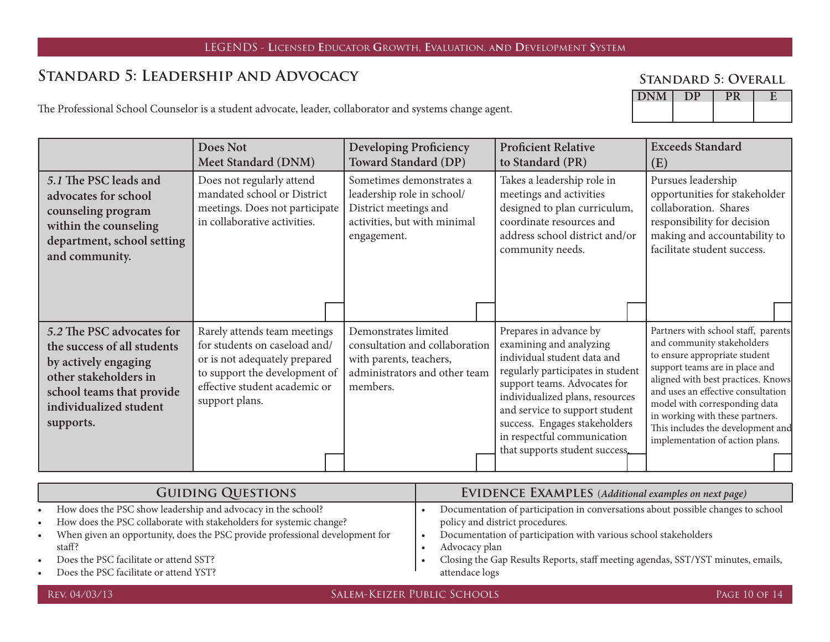# **Standard 5: Leadership and Advocacy**

#### **Standard 5: Overall**

The Professional School Counselor is a student advocate, leader, collaborator and systems change agent.

|                                                                                                                                                                               | Does Not<br><b>Meet Standard (DNM)</b>                                                                                                                                             | <b>Developing Proficiency</b><br><b>Toward Standard (DP)</b>                                                                   | <b>Proficient Relative</b><br>to Standard (PR)                                                                                                                                                                                                                                                                               | <b>Exceeds Standard</b><br>(E)                                                                                                                                                                                                                                                                                                                               |
|-------------------------------------------------------------------------------------------------------------------------------------------------------------------------------|------------------------------------------------------------------------------------------------------------------------------------------------------------------------------------|--------------------------------------------------------------------------------------------------------------------------------|------------------------------------------------------------------------------------------------------------------------------------------------------------------------------------------------------------------------------------------------------------------------------------------------------------------------------|--------------------------------------------------------------------------------------------------------------------------------------------------------------------------------------------------------------------------------------------------------------------------------------------------------------------------------------------------------------|
| 5.1 The PSC leads and<br>advocates for school<br>counseling program<br>within the counseling<br>department, school setting<br>and community.                                  | Does not regularly attend<br>mandated school or District<br>meetings. Does not participate<br>in collaborative activities.                                                         | Sometimes demonstrates a<br>leadership role in school/<br>District meetings and<br>activities, but with minimal<br>engagement. | Takes a leadership role in<br>meetings and activities<br>designed to plan curriculum,<br>coordinate resources and<br>address school district and/or<br>community needs.                                                                                                                                                      | Pursues leadership<br>opportunities for stakeholder<br>collaboration. Shares<br>responsibility for decision<br>making and accountability to<br>facilitate student success.                                                                                                                                                                                   |
| 5.2 The PSC advocates for<br>the success of all students<br>by actively engaging<br>other stakeholders in<br>school teams that provide<br>individualized student<br>supports. | Rarely attends team meetings<br>for students on caseload and/<br>or is not adequately prepared<br>to support the development of<br>effective student academic or<br>support plans. | Demonstrates limited<br>consultation and collaboration<br>with parents, teachers,<br>administrators and other team<br>members. | Prepares in advance by<br>examining and analyzing<br>individual student data and<br>regularly participates in student<br>support teams. Advocates for<br>individualized plans, resources<br>and service to support student<br>success. Engages stakeholders<br>in respectful communication<br>that supports student success. | Partners with school staff, parents<br>and community stakeholders<br>to ensure appropriate student<br>support teams are in place and<br>aligned with best practices. Knows<br>and uses an effective consultation<br>model with corresponding data<br>in working with these partners.<br>This includes the development and<br>implementation of action plans. |

| <b>GUIDING QUESTIONS</b> |                                                                                                                                     | <b>EVIDENCE EXAMPLES</b> (Additional examples on next page) |                                                                                                                     |  |
|--------------------------|-------------------------------------------------------------------------------------------------------------------------------------|-------------------------------------------------------------|---------------------------------------------------------------------------------------------------------------------|--|
| $\bullet$<br>$\bullet$   | How does the PSC show leadership and advocacy in the school?<br>How does the PSC collaborate with stakeholders for systemic change? |                                                             | Documentation of participation in conversations about possible changes to school<br>policy and district procedures. |  |
| $\bullet$                | When given an opportunity, does the PSC provide professional development for<br>staff?                                              |                                                             | Documentation of participation with various school stakeholders<br>Advocacy plan                                    |  |
| $\bullet$                | Does the PSC facilitate or attend SST?<br>Does the PSC facilitate or attend YST?                                                    |                                                             | Closing the Gap Results Reports, staff meeting agendas, SST/YST minutes, emails,<br>attendace logs                  |  |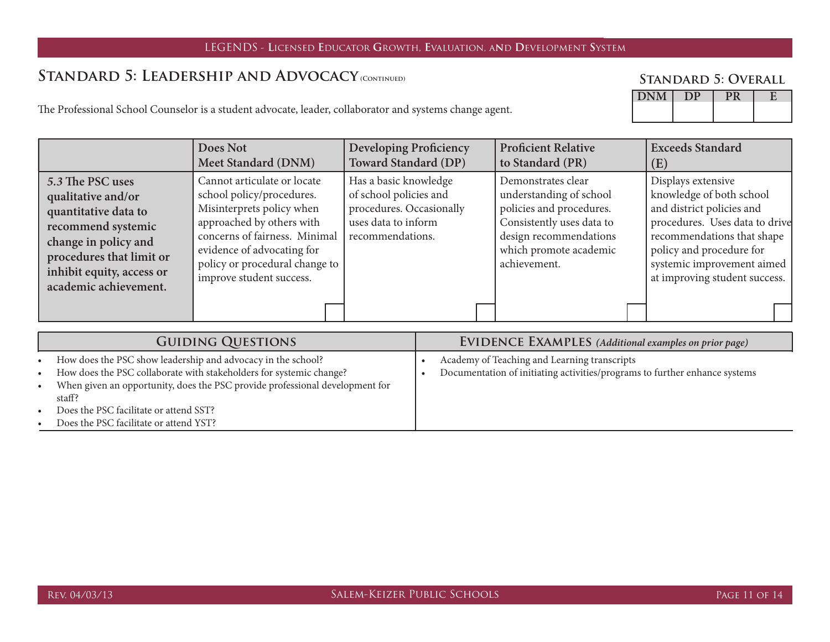### STANDARD 5: LEADERSHIP AND ADVOCACY (CONTINUED)

#### **Standard 5: Overall**

| 211177 |  |  |
|--------|--|--|
|        |  |  |
|        |  |  |

The Professional School Counselor is a student advocate, leader, collaborator and systems change agent.

|                                                                                                                                                                                                | Does Not<br>Meet Standard (DNM)                                                                                                                                                                                                                 | <b>Developing Proficiency</b><br><b>Toward Standard (DP)</b>                                                           | <b>Proficient Relative</b><br>to Standard (PR)                                                                                                                             | <b>Exceeds Standard</b><br>(E)                                                                                                                                                                                                         |
|------------------------------------------------------------------------------------------------------------------------------------------------------------------------------------------------|-------------------------------------------------------------------------------------------------------------------------------------------------------------------------------------------------------------------------------------------------|------------------------------------------------------------------------------------------------------------------------|----------------------------------------------------------------------------------------------------------------------------------------------------------------------------|----------------------------------------------------------------------------------------------------------------------------------------------------------------------------------------------------------------------------------------|
| 5.3 The PSC uses<br>qualitative and/or<br>quantitative data to<br>recommend systemic<br>change in policy and<br>procedures that limit or<br>inhibit equity, access or<br>academic achievement. | Cannot articulate or locate<br>school policy/procedures.<br>Misinterprets policy when<br>approached by others with<br>concerns of fairness. Minimal<br>evidence of advocating for<br>policy or procedural change to<br>improve student success. | Has a basic knowledge<br>of school policies and<br>procedures. Occasionally<br>uses data to inform<br>recommendations. | Demonstrates clear<br>understanding of school<br>policies and procedures.<br>Consistently uses data to<br>design recommendations<br>which promote academic<br>achievement. | Displays extensive<br>knowledge of both school<br>and district policies and<br>procedures. Uses data to drive<br>recommendations that shape<br>policy and procedure for<br>systemic improvement aimed<br>at improving student success. |
|                                                                                                                                                                                                |                                                                                                                                                                                                                                                 |                                                                                                                        |                                                                                                                                                                            |                                                                                                                                                                                                                                        |

|           | <b>GUIDING QUESTIONS</b>                                                     | <b>EVIDENCE EXAMPLES</b> (Additional examples on prior page)               |
|-----------|------------------------------------------------------------------------------|----------------------------------------------------------------------------|
| $\bullet$ | How does the PSC show leadership and advocacy in the school?                 | Academy of Teaching and Learning transcripts                               |
| $\bullet$ | How does the PSC collaborate with stakeholders for systemic change?          | Documentation of initiating activities/programs to further enhance systems |
| $\bullet$ | When given an opportunity, does the PSC provide professional development for |                                                                            |
|           | staff?                                                                       |                                                                            |
| $\bullet$ | Does the PSC facilitate or attend SST?                                       |                                                                            |
|           | Does the PSC facilitate or attend YST?                                       |                                                                            |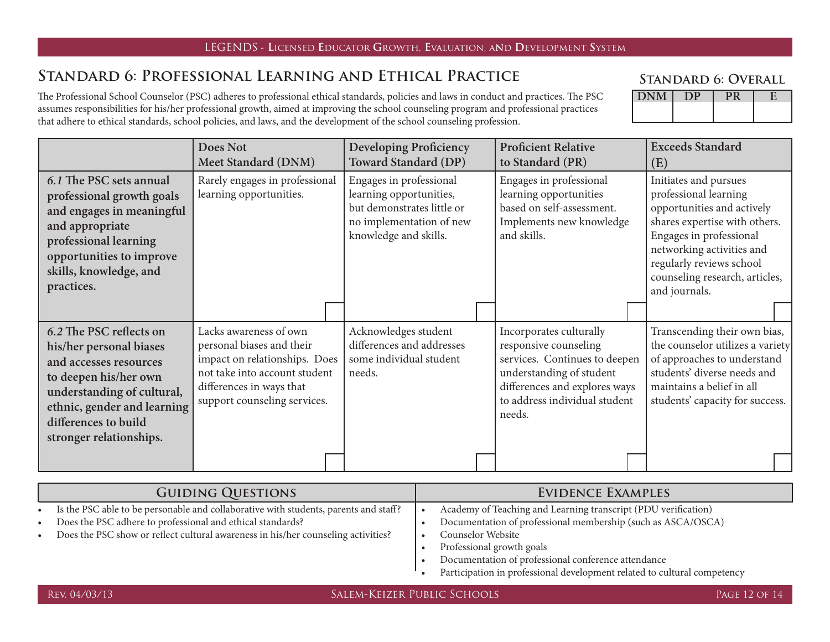#### **EXAMPLE EXAMPLE EDGEN DS - LICENSED EDUCATOR GROWTH, EVALUATION, AND DEVELOPMENT SYSTEM**

## **Standard 6: Professional Learning and Ethical Practice**

The Professional School Counselor (PSC) adheres to professional ethical standards, policies and laws in conduct and practices. The PSC assumes responsibilities for his/her professional growth, aimed at improving the school counseling program and professional practices that adhere to ethical standards, school policies, and laws, and the development of the school counseling profession.

| <b>STANDARD 6: OVERALL</b> |  |  |
|----------------------------|--|--|
|----------------------------|--|--|

| $\sqrt{NT}$<br>$U_{\rm N}$ |  |  |
|----------------------------|--|--|
|                            |  |  |

|                                                                                                                                                                                                                       | <b>Does Not</b><br>Meet Standard (DNM)                                                                                                                                            | <b>Developing Proficiency</b><br><b>Toward Standard (DP)</b>                                                                          | <b>Proficient Relative</b><br>to Standard (PR)                                                                                                                                            | <b>Exceeds Standard</b><br>(E)                                                                                                                                                                                                                       |
|-----------------------------------------------------------------------------------------------------------------------------------------------------------------------------------------------------------------------|-----------------------------------------------------------------------------------------------------------------------------------------------------------------------------------|---------------------------------------------------------------------------------------------------------------------------------------|-------------------------------------------------------------------------------------------------------------------------------------------------------------------------------------------|------------------------------------------------------------------------------------------------------------------------------------------------------------------------------------------------------------------------------------------------------|
| 6.1 The PSC sets annual<br>professional growth goals<br>and engages in meaningful<br>and appropriate<br>professional learning<br>opportunities to improve<br>skills, knowledge, and<br>practices.                     | Rarely engages in professional<br>learning opportunities.                                                                                                                         | Engages in professional<br>learning opportunities,<br>but demonstrates little or<br>no implementation of new<br>knowledge and skills. | Engages in professional<br>learning opportunities<br>based on self-assessment.<br>Implements new knowledge<br>and skills.                                                                 | Initiates and pursues<br>professional learning<br>opportunities and actively<br>shares expertise with others.<br>Engages in professional<br>networking activities and<br>regularly reviews school<br>counseling research, articles,<br>and journals. |
|                                                                                                                                                                                                                       |                                                                                                                                                                                   |                                                                                                                                       |                                                                                                                                                                                           |                                                                                                                                                                                                                                                      |
| 6.2 The PSC reflects on<br>his/her personal biases<br>and accesses resources<br>to deepen his/her own<br>understanding of cultural,<br>ethnic, gender and learning<br>differences to build<br>stronger relationships. | Lacks awareness of own<br>personal biases and their<br>impact on relationships. Does<br>not take into account student<br>differences in ways that<br>support counseling services. | Acknowledges student<br>differences and addresses<br>some individual student<br>needs.                                                | Incorporates culturally<br>responsive counseling<br>services. Continues to deepen<br>understanding of student<br>differences and explores ways<br>to address individual student<br>needs. | Transcending their own bias,<br>the counselor utilizes a variety<br>of approaches to understand<br>students' diverse needs and<br>maintains a belief in all<br>students' capacity for success.                                                       |
|                                                                                                                                                                                                                       |                                                                                                                                                                                   |                                                                                                                                       |                                                                                                                                                                                           |                                                                                                                                                                                                                                                      |

| <b>GUIDING QUESTIONS</b> |                                                                                      | EVIDENCE EXAMPLES |                                                                          |
|--------------------------|--------------------------------------------------------------------------------------|-------------------|--------------------------------------------------------------------------|
|                          | Is the PSC able to be personable and collaborative with students, parents and staff? |                   | Academy of Teaching and Learning transcript (PDU verification)           |
|                          | Does the PSC adhere to professional and ethical standards?                           |                   | Documentation of professional membership (such as ASCA/OSCA)             |
|                          | Does the PSC show or reflect cultural awareness in his/her counseling activities?    |                   | Counselor Website                                                        |
|                          |                                                                                      |                   | Professional growth goals                                                |
|                          |                                                                                      |                   | Documentation of professional conference attendance                      |
|                          |                                                                                      |                   | Participation in professional development related to cultural competency |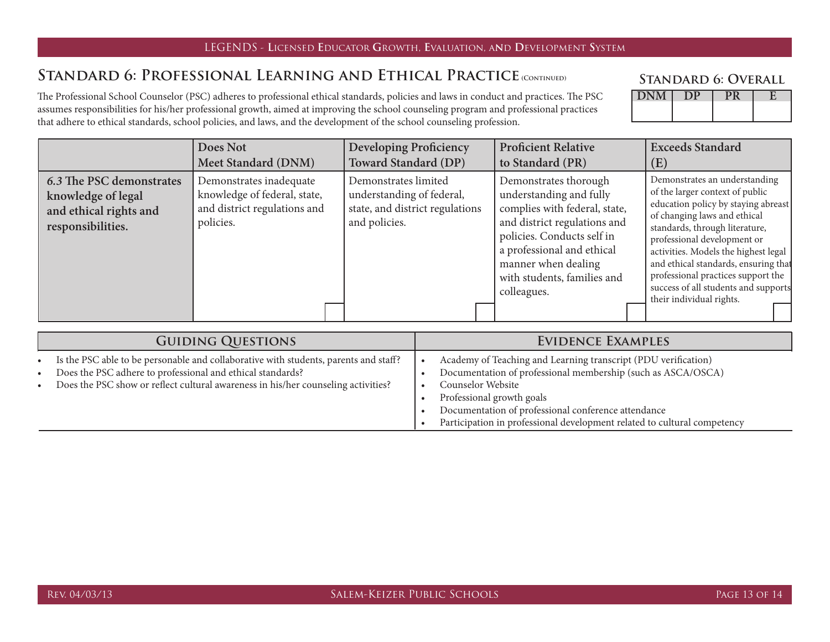#### in the LEGENDS - Licensed Educator Growth, Evaluation, and Development System (

### STANDARD 6: PROFESSIONAL LEARNING AND ETHICAL PRACTICE (CONTINUED)

The Professional School Counselor (PSC) adheres to professional ethical standards, policies and laws in conduct and practices. The PSC assumes responsibilities for his/her professional growth, aimed at improving the school counseling program and professional practices that adhere to ethical standards, school policies, and laws, and the development of the school counseling profession.

| <b>DNM</b><br>L |  |  |
|-----------------|--|--|
|                 |  |  |
|                 |  |  |

|                                                                                               | Does Not                                                                                             | <b>Developing Proficiency</b>                                                                         | <b>Proficient Relative</b>                                                                                                                                                                                                                         | <b>Exceeds Standard</b>                                                                                                                                                                                                                                                                                                                                                                            |
|-----------------------------------------------------------------------------------------------|------------------------------------------------------------------------------------------------------|-------------------------------------------------------------------------------------------------------|----------------------------------------------------------------------------------------------------------------------------------------------------------------------------------------------------------------------------------------------------|----------------------------------------------------------------------------------------------------------------------------------------------------------------------------------------------------------------------------------------------------------------------------------------------------------------------------------------------------------------------------------------------------|
|                                                                                               | Meet Standard (DNM)                                                                                  | <b>Toward Standard (DP)</b>                                                                           | to Standard (PR)                                                                                                                                                                                                                                   | $\rm(E)$                                                                                                                                                                                                                                                                                                                                                                                           |
| 6.3 The PSC demonstrates<br>knowledge of legal<br>and ethical rights and<br>responsibilities. | Demonstrates inadequate<br>knowledge of federal, state,<br>and district regulations and<br>policies. | Demonstrates limited<br>understanding of federal,<br>state, and district regulations<br>and policies. | Demonstrates thorough<br>understanding and fully<br>complies with federal, state,<br>and district regulations and<br>policies. Conducts self in<br>a professional and ethical<br>manner when dealing<br>with students, families and<br>colleagues. | Demonstrates an understanding<br>of the larger context of public<br>education policy by staying abreast<br>of changing laws and ethical<br>standards, through literature,<br>professional development or<br>activities. Models the highest legal<br>and ethical standards, ensuring that<br>professional practices support the<br>success of all students and supports<br>their individual rights. |

| <b>GUIDING QUESTIONS</b> |                                                                                      | EVIDENCE EXAMPLES |                                                                          |  |
|--------------------------|--------------------------------------------------------------------------------------|-------------------|--------------------------------------------------------------------------|--|
| $\bullet$                | Is the PSC able to be personable and collaborative with students, parents and staff? |                   | Academy of Teaching and Learning transcript (PDU verification)           |  |
| $\bullet$                | Does the PSC adhere to professional and ethical standards?                           |                   | Documentation of professional membership (such as ASCA/OSCA)             |  |
|                          | Does the PSC show or reflect cultural awareness in his/her counseling activities?    |                   | Counselor Website                                                        |  |
|                          |                                                                                      |                   | Professional growth goals                                                |  |
|                          |                                                                                      |                   | Documentation of professional conference attendance                      |  |
|                          |                                                                                      |                   | Participation in professional development related to cultural competency |  |